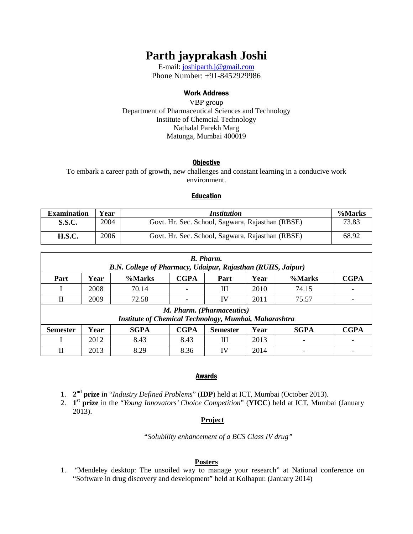# **Parth jayprakash Joshi**

E-mail: [joshiparth.j@gmail.com](mailto:joshiparth.j@gmail.com) Phone Number: +91-8452929986

### Work Address

VBP group Department of Pharmaceutical Sciences and Technology Institute of Chemcial Technology Nathalal Parekh Marg Matunga, Mumbai 400019

### **Objective**

To embark a career path of growth, new challenges and constant learning in a conducive work environment.

### **Education**

| <b>Examination</b> | Year | <i>Institution</i>                               | %Marks |
|--------------------|------|--------------------------------------------------|--------|
| <b>S.S.C.</b>      | 2004 | Govt. Hr. Sec. School, Sagwara, Rajasthan (RBSE) | 73.83  |
| <b>H.S.C.</b>      | 2006 | Govt. Hr. Sec. School, Sagwara, Rajasthan (RBSE) | 68.92  |

| <b>B.</b> Pharm.<br>B.N. College of Pharmacy, Udaipur, Rajasthan (RUHS, Jaipur)    |      |             |             |                 |      |             |             |  |  |  |
|------------------------------------------------------------------------------------|------|-------------|-------------|-----------------|------|-------------|-------------|--|--|--|
| Part                                                                               | Year | %Marks      | <b>CGPA</b> | Part            | Year | %Marks      | <b>CGPA</b> |  |  |  |
|                                                                                    | 2008 | 70.14       |             | Ш               | 2010 | 74.15       |             |  |  |  |
| $\mathbf{I}$                                                                       | 2009 | 72.58       |             | IV              | 2011 | 75.57       |             |  |  |  |
| M. Pharm. (Pharmaceutics)<br>Institute of Chemical Technology, Mumbai, Maharashtra |      |             |             |                 |      |             |             |  |  |  |
| <b>Semester</b>                                                                    | Year | <b>SGPA</b> | <b>CGPA</b> | <b>Semester</b> | Year | <b>SGPA</b> | <b>CGPA</b> |  |  |  |
|                                                                                    | 2012 | 8.43        | 8.43        | Ш               | 2013 |             |             |  |  |  |
| П                                                                                  | 2013 | 8.29        | 8.36        | IV              | 2014 |             |             |  |  |  |

# Awards

- 1. **2nd prize** in "*Industry Defined Problems*" (**IDP**) held at ICT, Mumbai (October 2013). **st**
- 2. **1 prize** in the "*Young Innovators' Choice Competition*" (**YICC**) held at ICT, Mumbai (January 2013).

# **Project**

"*Solubility enhancement of a BCS Class IV drug"*

### **Posters**

1. "Mendeley desktop: The unsoiled way to manage your research" at National conference on "Software in drug discovery and development" held at Kolhapur. (January 2014)